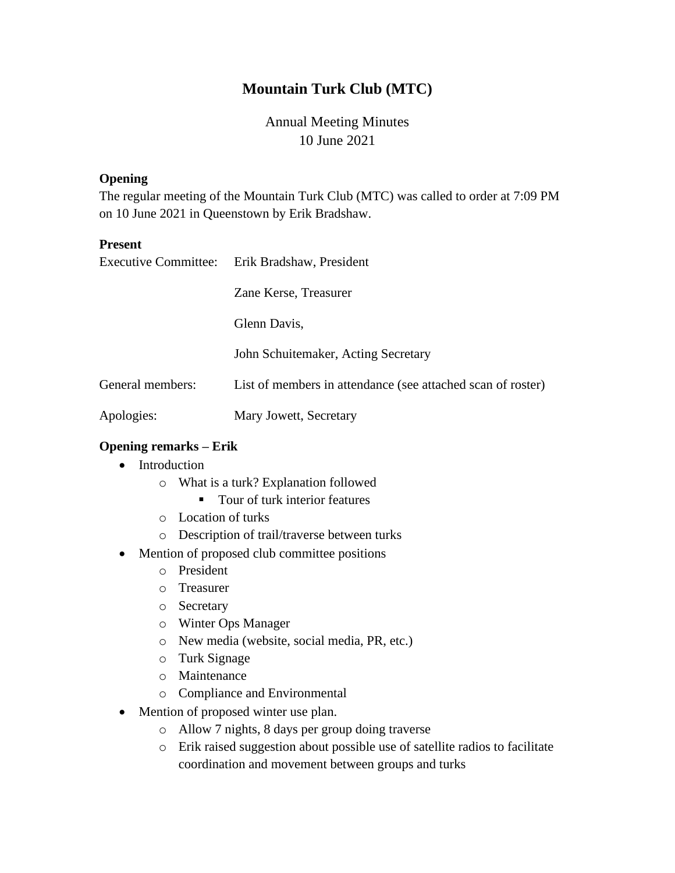# **Mountain Turk Club (MTC)**

# Annual Meeting Minutes 10 June 2021

#### **Opening**

The regular meeting of the Mountain Turk Club (MTC) was called to order at 7:09 PM on 10 June 2021 in Queenstown by Erik Bradshaw.

#### **Present**

|                  | Executive Committee: Erik Bradshaw, President               |
|------------------|-------------------------------------------------------------|
|                  | Zane Kerse, Treasurer                                       |
|                  | Glenn Davis,                                                |
|                  | John Schuitemaker, Acting Secretary                         |
| General members: | List of members in attendance (see attached scan of roster) |
| Apologies:       | Mary Jowett, Secretary                                      |

#### **Opening remarks – Erik**

- Introduction
	- o What is a turk? Explanation followed
		- Tour of turk interior features
	- o Location of turks
	- o Description of trail/traverse between turks
- Mention of proposed club committee positions
	- o President
	- o Treasurer
	- o Secretary
	- o Winter Ops Manager
	- o New media (website, social media, PR, etc.)
	- o Turk Signage
	- o Maintenance
	- o Compliance and Environmental
- Mention of proposed winter use plan.
	- o Allow 7 nights, 8 days per group doing traverse
	- o Erik raised suggestion about possible use of satellite radios to facilitate coordination and movement between groups and turks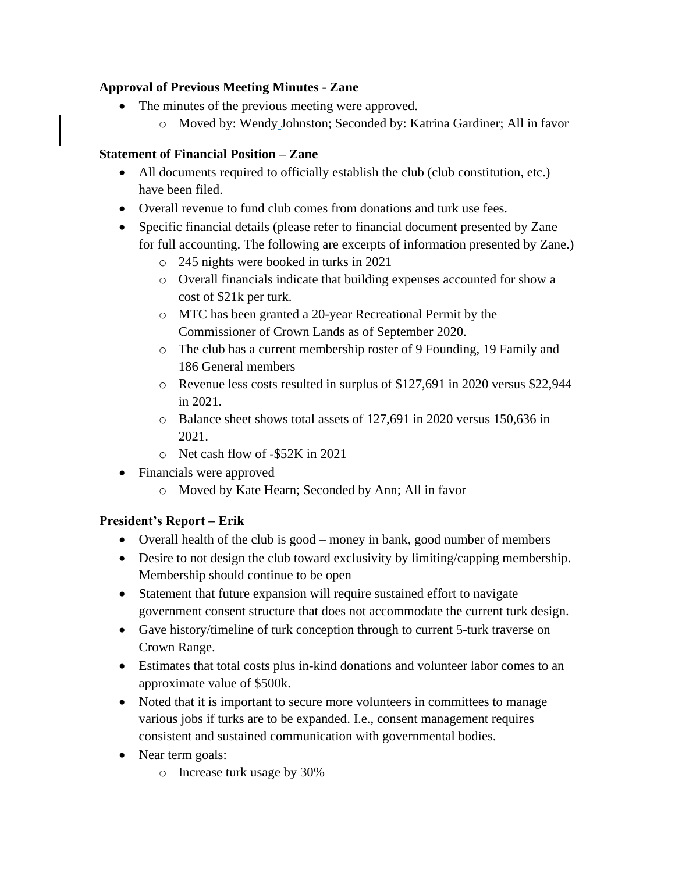## **Approval of Previous Meeting Minutes - Zane**

- The minutes of the previous meeting were approved.
	- o Moved by: Wendy Johnston; Seconded by: Katrina Gardiner; All in favor

## **Statement of Financial Position – Zane**

- All documents required to officially establish the club (club constitution, etc.) have been filed.
- Overall revenue to fund club comes from donations and turk use fees.
- Specific financial details (please refer to financial document presented by Zane for full accounting. The following are excerpts of information presented by Zane.)
	- o 245 nights were booked in turks in 2021
	- o Overall financials indicate that building expenses accounted for show a cost of \$21k per turk.
	- o MTC has been granted a 20-year Recreational Permit by the Commissioner of Crown Lands as of September 2020.
	- o The club has a current membership roster of 9 Founding, 19 Family and 186 General members
	- o Revenue less costs resulted in surplus of \$127,691 in 2020 versus \$22,944 in 2021.
	- o Balance sheet shows total assets of 127,691 in 2020 versus 150,636 in 2021.
	- o Net cash flow of -\$52K in 2021
- Financials were approved
	- o Moved by Kate Hearn; Seconded by Ann; All in favor

# **President's Report – Erik**

- Overall health of the club is good money in bank, good number of members
- Desire to not design the club toward exclusivity by limiting/capping membership. Membership should continue to be open
- Statement that future expansion will require sustained effort to navigate government consent structure that does not accommodate the current turk design.
- Gave history/timeline of turk conception through to current 5-turk traverse on Crown Range.
- Estimates that total costs plus in-kind donations and volunteer labor comes to an approximate value of \$500k.
- Noted that it is important to secure more volunteers in committees to manage various jobs if turks are to be expanded. I.e., consent management requires consistent and sustained communication with governmental bodies.
- Near term goals:
	- o Increase turk usage by 30%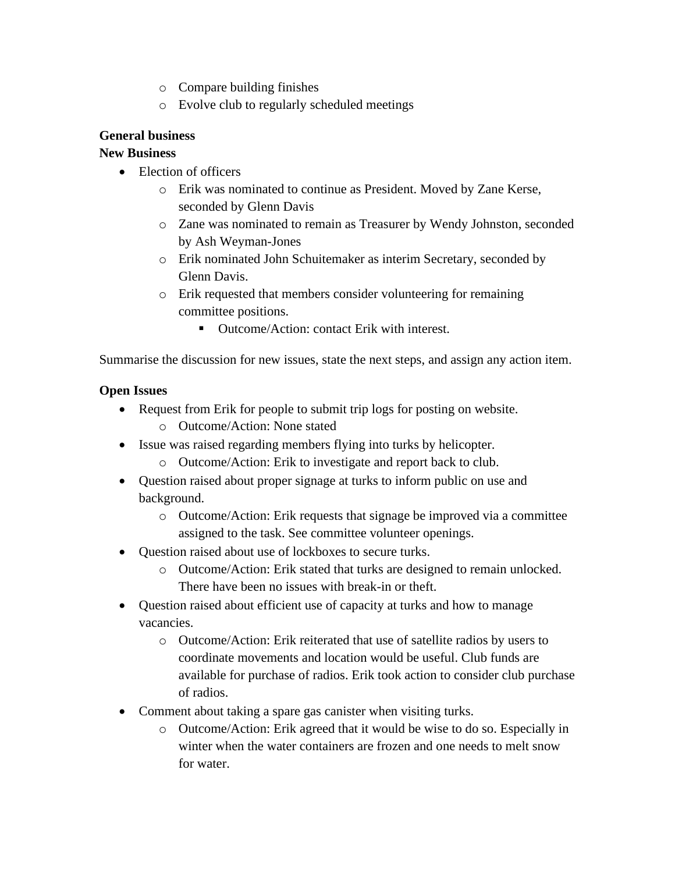- o Compare building finishes
- o Evolve club to regularly scheduled meetings

### **General business**

### **New Business**

- Election of officers
	- o Erik was nominated to continue as President. Moved by Zane Kerse, seconded by Glenn Davis
	- o Zane was nominated to remain as Treasurer by Wendy Johnston, seconded by Ash Weyman-Jones
	- o Erik nominated John Schuitemaker as interim Secretary, seconded by Glenn Davis.
	- o Erik requested that members consider volunteering for remaining committee positions.
		- Outcome/Action: contact Erik with interest.

Summarise the discussion for new issues, state the next steps, and assign any action item.

### **Open Issues**

- Request from Erik for people to submit trip logs for posting on website.
	- o Outcome/Action: None stated
- Issue was raised regarding members flying into turks by helicopter.
	- o Outcome/Action: Erik to investigate and report back to club.
- Question raised about proper signage at turks to inform public on use and background.
	- o Outcome/Action: Erik requests that signage be improved via a committee assigned to the task. See committee volunteer openings.
- Question raised about use of lockboxes to secure turks.
	- o Outcome/Action: Erik stated that turks are designed to remain unlocked. There have been no issues with break-in or theft.
- Question raised about efficient use of capacity at turks and how to manage vacancies.
	- o Outcome/Action: Erik reiterated that use of satellite radios by users to coordinate movements and location would be useful. Club funds are available for purchase of radios. Erik took action to consider club purchase of radios.
- Comment about taking a spare gas canister when visiting turks.
	- o Outcome/Action: Erik agreed that it would be wise to do so. Especially in winter when the water containers are frozen and one needs to melt snow for water.